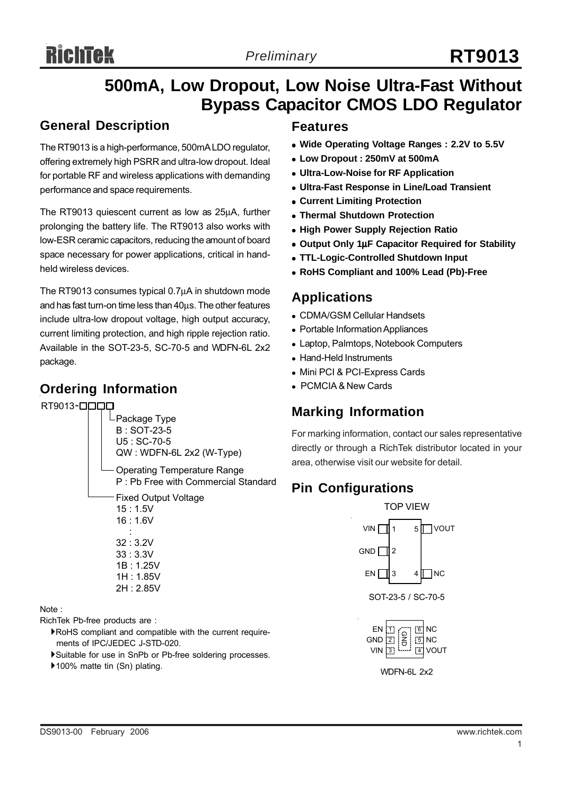# **500mA, Low Dropout, Low Noise Ultra-Fast Without Bypass Capacitor CMOS LDO Regulator**

#### **General Description**

The RT9013 is a high-performance, 500mA LDO regulator, offering extremely high PSRR and ultra-low dropout. Ideal for portable RF and wireless applications with demanding performance and space requirements.

The RT9013 quiescent current as low as 25μA, further prolonging the battery life. The RT9013 also works with low-ESR ceramic capacitors, reducing the amount of board space necessary for power applications, critical in handheld wireless devices.

The RT9013 consumes typical 0.7μA in shutdown mode and has fast turn-on time less than 40μs. The other features include ultra-low dropout voltage, high output accuracy, current limiting protection, and high ripple rejection ratio. Available in the SOT-23-5, SC-70-5 and WDFN-6L 2x2 package.

#### **Ordering Information**

RT9013 -



#### Note :

RichTek Pb-free products are :

- `RoHS compliant and compatible with the current require ments of IPC/JEDEC J-STD-020.
- `Suitable for use in SnPb or Pb-free soldering processes.
- ▶100% matte tin (Sn) plating.

#### **Features**

- Wide Operating Voltage Ranges : 2.2V to 5.5V
- <sup>z</sup> **Low Dropout : 250mV at 500mA**
- <sup>z</sup> **Ultra-Low-Noise for RF Application**
- $\bullet$  **Ultra-Fast Response in Line/Load Transient**
- **Current Limiting Protection**
- <sup>z</sup> **Thermal Shutdown Protection**
- **High Power Supply Rejection Ratio**
- <sup>z</sup> **Output Only 1**μ**F Capacitor Required for Stability**
- <sup>z</sup> **TTL-Logic-Controlled Shutdown Input**
- <sup>z</sup> **RoHS Compliant and 100% Lead (Pb)-Free**

#### **Applications**

- CDMA/GSM Cellular Handsets
- Portable Information Appliances
- Laptop, Palmtops, Notebook Computers
- Hand-Held Instruments
- Mini PCI & PCI-Express Cards
- PCMCIA & New Cards

#### **Marking Information**

For marking information, contact our sales representative directly or through a RichTek distributor located in your area, otherwise visit our website for detail.

# **Pin Configurations**

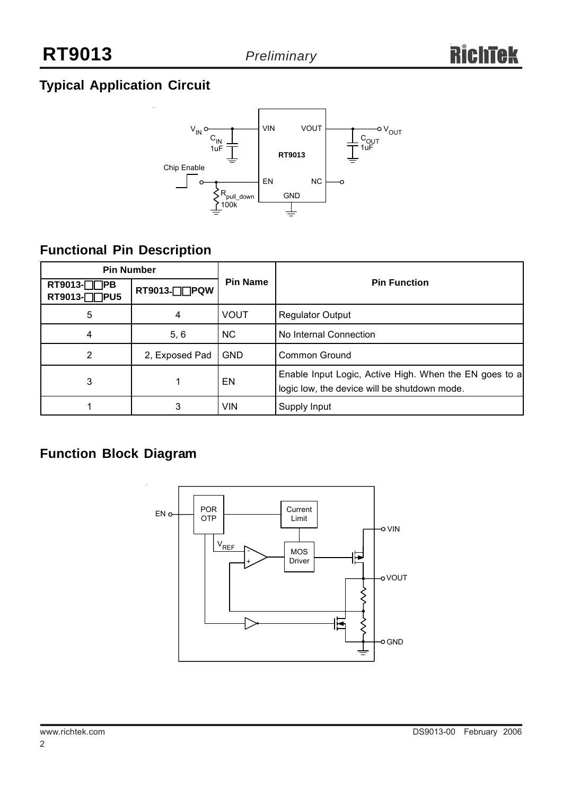# **Typical Application Circuit**



# **Functional Pin Description**

| <b>Pin Number</b>                 |                |                 |                                                                                                        |  |  |
|-----------------------------------|----------------|-----------------|--------------------------------------------------------------------------------------------------------|--|--|
| RT9013- $\Box$ PB<br>RT9013-□□PU5 | RT9013-□□PQW   | <b>Pin Name</b> | <b>Pin Function</b>                                                                                    |  |  |
| 5                                 | 4              | <b>VOUT</b>     | <b>Regulator Output</b>                                                                                |  |  |
| 4                                 | 5, 6           | <b>NC</b>       | No Internal Connection                                                                                 |  |  |
| 2                                 | 2, Exposed Pad | <b>GND</b>      | Common Ground                                                                                          |  |  |
| 3                                 |                | EN              | Enable Input Logic, Active High. When the EN goes to a<br>logic low, the device will be shutdown mode. |  |  |
|                                   |                | <b>VIN</b>      | Supply Input                                                                                           |  |  |

# **Function Block Diagram**

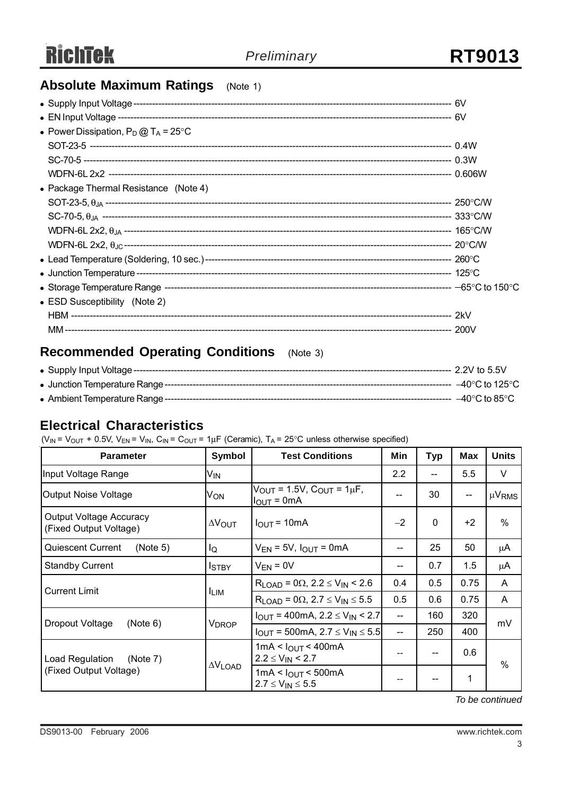## **Absolute Maximum Ratings** (Note 1)

| • Power Dissipation, $P_D @ T_A = 25^{\circ}C$ |  |
|------------------------------------------------|--|
|                                                |  |
|                                                |  |
|                                                |  |
| • Package Thermal Resistance (Note 4)          |  |
|                                                |  |
|                                                |  |
|                                                |  |
| WDFN-6L 2x2, $\theta_{\text{JC}}$              |  |
|                                                |  |
|                                                |  |
|                                                |  |
| • ESD Susceptibility (Note 2)                  |  |
|                                                |  |
|                                                |  |

# **Recommended Operating Conditions** (Note 3)

|  | $-40^{\circ}$ C to 85 $^{\circ}$ C |
|--|------------------------------------|

#### **Electrical Characteristics**

( $V_{IN}$  =  $V_{OUT}$  + 0.5V,  $V_{EN}$  =  $V_{IN}$ ,  $C_{IN}$  =  $C_{OUT}$  = 1 $\mu$ F (Ceramic), T<sub>A</sub> = 25°C unless otherwise specified)

| <b>Parameter</b>                                         | Symbol                  | <b>Test Conditions</b>                                                               | Min  | Typ      | Max  | <b>Units</b>  |
|----------------------------------------------------------|-------------------------|--------------------------------------------------------------------------------------|------|----------|------|---------------|
| Input Voltage Range                                      | V <sub>IN</sub>         |                                                                                      | 2.2  |          | 5.5  | V             |
| Output Noise Voltage                                     | Von                     | $V_{OUT} = 1.5V$ , $C_{OUT} = 1 \mu F$ ,<br>$I_{\text{OUT}} = 0 \text{mA}$           | --   | 30       | --   | $\mu V_{RMS}$ |
| <b>Output Voltage Accuracy</b><br>(Fixed Output Voltage) | $\Delta V_{\text{OUT}}$ | $I_{OUT} = 10mA$                                                                     | $-2$ | $\Omega$ | $+2$ | %             |
| Quiescent Current<br>(Note 5)                            | lQ                      | $V_{EN}$ = 5V, $I_{OUT}$ = 0mA                                                       | --   | 25       | 50   | μA            |
| <b>Standby Current</b>                                   | Istby                   | $V_{EN} = 0V$                                                                        | --   | 0.7      | 1.5  | μA            |
| <b>Current Limit</b>                                     | <b>ILIM</b>             | $R_{LOAD} = 0\Omega$ , 2.2 $\leq$ V <sub>IN</sub> < 2.6                              | 0.4  | 0.5      | 0.75 | A             |
|                                                          |                         | $R_{LOAD}$ = 0 $\Omega$ , 2.7 $\leq$ V <sub>IN</sub> $\leq$ 5.5                      | 0.5  | 0.6      | 0.75 | A             |
| Dropout Voltage<br>(Note 6)                              | V <sub>DROP</sub>       | $I_{\text{OUT}}$ = 400mA, 2.2 $\leq$ V <sub>IN</sub> < 2.7<br>$-$                    |      | 160      | 320  | mV            |
|                                                          |                         | $I_{OUT}$ = 500mA, 2.7 $\leq$ V <sub>IN</sub> $\leq$ 5.5<br>$\overline{\phantom{a}}$ |      | 250      | 400  |               |
| Load Regulation<br>(Note 7)                              | $\Delta V$ LOAD         | 1mA < $I_{OUT}$ < 400mA<br>--<br>$2.2 \le V_{IN}$ < 2.7                              |      |          | 0.6  | $\%$          |
| (Fixed Output Voltage)                                   |                         | 1mA < I <sub>OUT</sub> < 500mA<br>$2.7 \leq V_{IN} \leq 5.5$                         | --   |          | 1    |               |

*To be continued*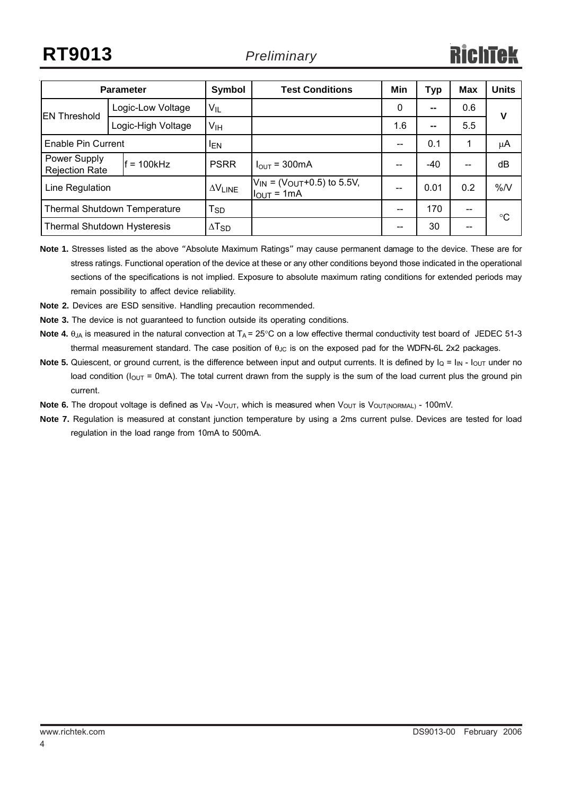| <b>Parameter</b>                      |  | Symbol                     | <b>Test Conditions</b>                                   | Min               | Typ  | <b>Max</b> | <b>Units</b> |    |
|---------------------------------------|--|----------------------------|----------------------------------------------------------|-------------------|------|------------|--------------|----|
| <b>EN Threshold</b>                   |  | Logic-Low Voltage          | $V_{IL}$                                                 |                   | 0    | --         | 0.6          | v  |
|                                       |  | Logic-High Voltage         | V <sub>IH</sub>                                          |                   | 1.6  | --         | 5.5          |    |
| Enable Pin Current                    |  | <b>IEN</b>                 |                                                          |                   | 0.1  | 1          | μA           |    |
| Power Supply<br><b>Rejection Rate</b> |  | $= 100$ kHz                | <b>PSRR</b>                                              | $I_{OUT}$ = 300mA | --   | -40        | --           | dB |
| Line Regulation                       |  | $\Delta V$ LINE            | $V_{IN}$ = ( $V_{OUT}$ +0.5) to 5.5V,<br>$I_{OUT} = 1mA$ | --                | 0.01 | 0.2        | %N           |    |
| Thermal Shutdown Temperature          |  | $\mathsf{T}_{\mathsf{SD}}$ |                                                          |                   | 170  |            | °C           |    |
| <b>Thermal Shutdown Hysteresis</b>    |  | $\Delta$ T <sub>SD</sub>   |                                                          |                   | 30   | --         |              |    |

- **Note 1.** Stresses listed as the above "Absolute Maximum Ratings" may cause permanent damage to the device. These are for stress ratings. Functional operation of the device at these or any other conditions beyond those indicated in the operational sections of the specifications is not implied. Exposure to absolute maximum rating conditions for extended periods may remain possibility to affect device reliability.
- **Note 2.** Devices are ESD sensitive. Handling precaution recommended.
- **Note 3.** The device is not guaranteed to function outside its operating conditions.
- **Note 4.**  $\theta_{JA}$  is measured in the natural convection at  $T_A = 25^\circ$ C on a low effective thermal conductivity test board of JEDEC 51-3 thermal measurement standard. The case position of  $\theta_{\text{JC}}$  is on the exposed pad for the WDFN-6L 2x2 packages.
- **Note 5.** Quiescent, or ground current, is the difference between input and output currents. It is defined by  $I_Q = I_{IN} I_{OUT}$  under no load condition ( $I_{\text{OUT}}$  = 0mA). The total current drawn from the supply is the sum of the load current plus the ground pin current.
- **Note 6.** The dropout voltage is defined as V<sub>IN</sub> -V<sub>OUT</sub>, which is measured when V<sub>OUT</sub> is V<sub>OUT(NORMAL)</sub> 100mV.
- **Note 7.** Regulation is measured at constant junction temperature by using a 2ms current pulse. Devices are tested for load regulation in the load range from 10mA to 500mA.

4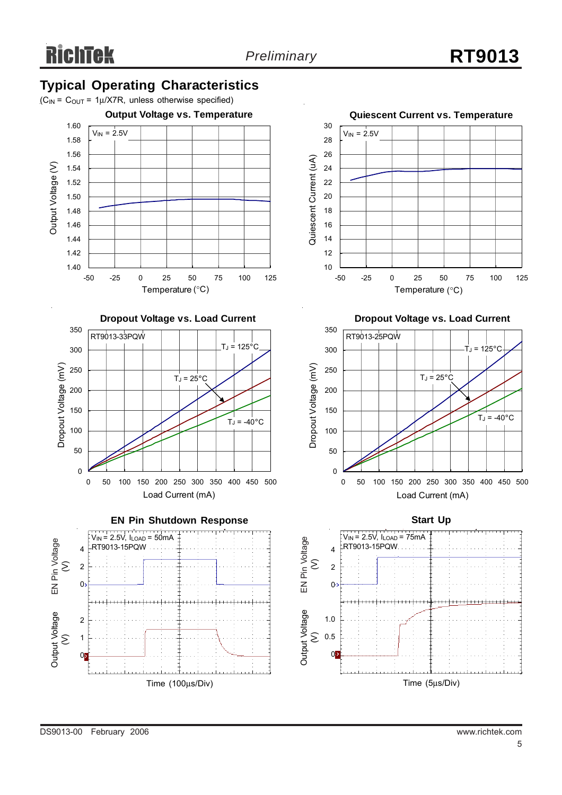## **Typical Operating Characteristics**















**Dropout Voltage vs. Load Current**



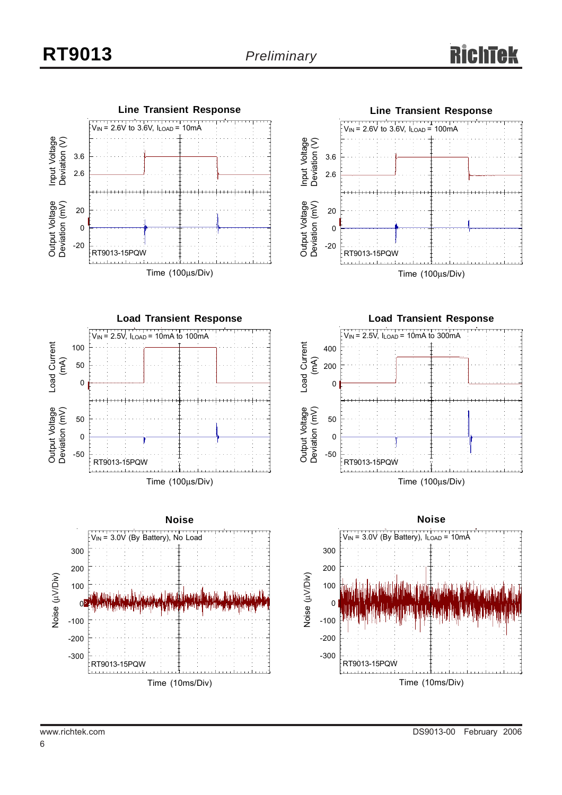



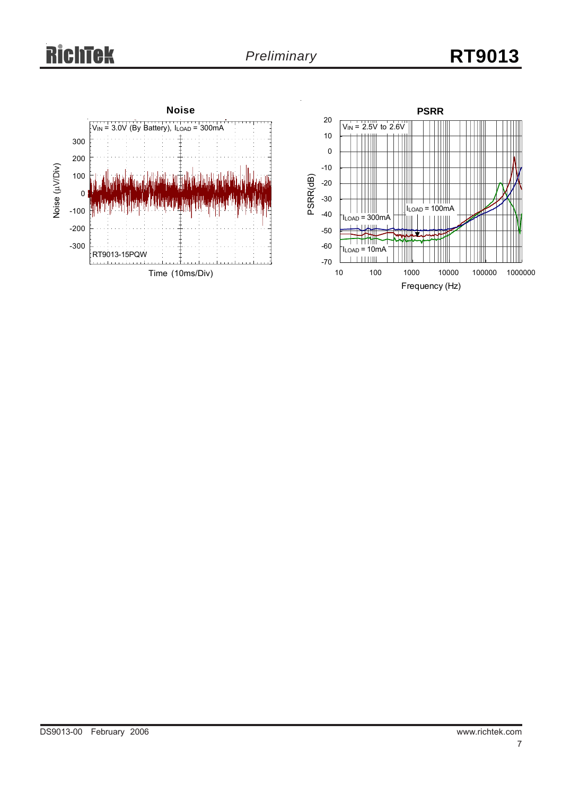# **RichTek**

# *Preliminary* **RT9013**

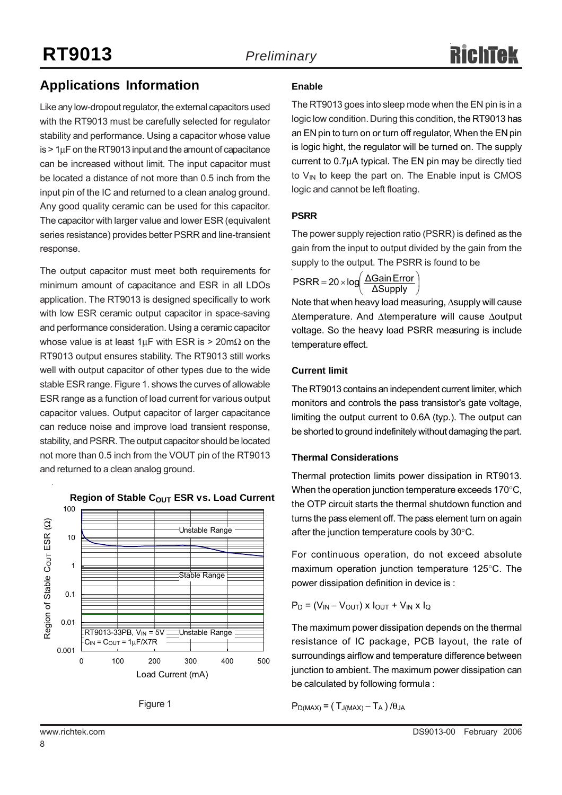## **Applications Information**

Like any low-dropout regulator, the external capacitors used with the RT9013 must be carefully selected for regulator stability and performance. Using a capacitor whose value  $is$  > 1 $\mu$ F on the RT9013 input and the amount of capacitance can be increased without limit. The input capacitor must be located a distance of not more than 0.5 inch from the input pin of the IC and returned to a clean analog ground. Any good quality ceramic can be used for this capacitor. The capacitor with larger value and lower ESR (equivalent series resistance) provides better PSRR and line-transient response.

The output capacitor must meet both requirements for minimum amount of capacitance and ESR in all LDOs application. The RT9013 is designed specifically to work with low ESR ceramic output capacitor in space-saving and performance consideration. Using a ceramic capacitor whose value is at least  $1 \mu$ F with ESR is > 20m $\Omega$  on the RT9013 output ensures stability. The RT9013 still works well with output capacitor of other types due to the wide stable ESR range. Figure 1. shows the curves of allowable ESR range as a function of load current for various output capacitor values. Output capacitor of larger capacitance can reduce noise and improve load transient response, stability, and PSRR. The output capacitor should be located not more than 0.5 inch from the VOUT pin of the RT9013 and returned to a clean analog ground.





#### **Enable**

The RT9013 goes into sleep mode when the EN pin is in a logic low condition. During this condition, the RT9013 has an EN pin to turn on or turn off regulator, When the EN pin is logic hight, the regulator will be turned on. The supply current to 0.7μA typical. The EN pin may be directly tied to  $V_{IN}$  to keep the part on. The Enable input is CMOS logic and cannot be left floating.

#### **PSRR**

The power supply rejection ratio (PSRR) is defined as the gain from the input to output divided by the gain from the supply to the output. The PSRR is found to be

$$
PSRR = 20 \times \log \left( \frac{\Delta \text{Gain Error}}{\Delta \text{Supply}} \right)
$$

Note that when heavy load measuring, Δsupply will cause Δtemperature. And Δtemperature will cause Δoutput voltage. So the heavy load PSRR measuring is include temperature effect.

#### **Current limit**

The RT9013 contains an independent current limiter, which monitors and controls the pass transistor's gate voltage, limiting the output current to 0.6A (typ.). The output can be shorted to ground indefinitely without damaging the part.

#### **Thermal Considerations**

Thermal protection limits power dissipation in RT9013. When the operation junction temperature exceeds 170°C, the OTP circuit starts the thermal shutdown function and turns the pass element off. The pass element turn on again after the junction temperature cools by 30°C.

For continuous operation, do not exceed absolute maximum operation junction temperature 125°C. The power dissipation definition in device is :

 $P_D = (V_{IN} - V_{OUT}) \times I_{OUT} + V_{IN} \times I_Q$ 

The maximum power dissipation depends on the thermal resistance of IC package, PCB layout, the rate of surroundings airflow and temperature difference between junction to ambient. The maximum power dissipation can be calculated by following formula :

 $P_{D(MAX)} = (T_{J(MAX)} - T_A) / \theta_{JA}$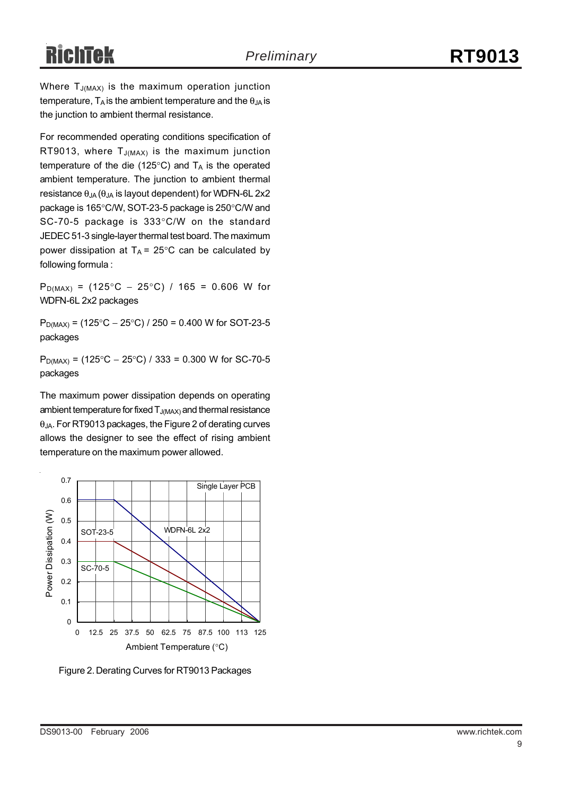Where  $T_{J(MAX)}$  is the maximum operation junction temperature,  $T_A$  is the ambient temperature and the  $\theta_{JA}$  is the junction to ambient thermal resistance.

For recommended operating conditions specification of RT9013, where  $T_{J(MAX)}$  is the maximum junction temperature of the die (125 $\degree$ C) and T<sub>A</sub> is the operated ambient temperature. The junction to ambient thermal resistance  $\theta_{JA}$  ( $\theta_{JA}$  is layout dependent) for WDFN-6L 2x2 package is 165°C/W, SOT-23-5 package is 250°C/W and SC-70-5 package is 333°C/W on the standard JEDEC 51-3 single-layer thermal test board. The maximum power dissipation at  $T_A = 25^{\circ}$ C can be calculated by following formula :

P<sub>D(MAX)</sub> = (125°C – 25°C) / 165 = 0.606 W for WDFN-6L 2x2 packages

 $P_{D(MAX)} = (125\degree C - 25\degree C) / 250 = 0.400$  W for SOT-23-5 packages

 $P_{D(MAX)} = (125^{\circ}C - 25^{\circ}C) / 333 = 0.300$  W for SC-70-5 packages

The maximum power dissipation depends on operating ambient temperature for fixed  $T_{J(MAX)}$  and thermal resistance θJA. For RT9013 packages, the Figure 2 of derating curves allows the designer to see the effect of rising ambient temperature on the maximum power allowed.



Figure 2. Derating Curves for RT9013 Packages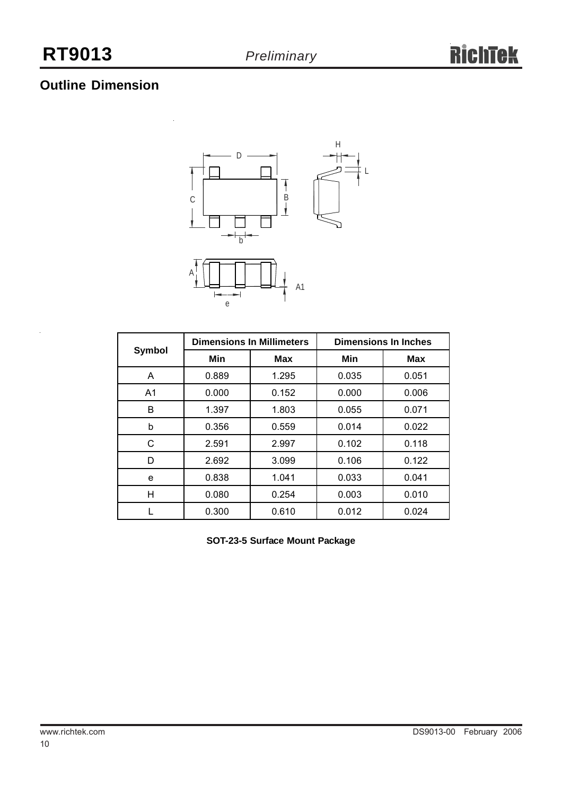# **Outline Dimension**



| Symbol         |       | <b>Dimensions In Millimeters</b> | <b>Dimensions In Inches</b> |       |  |
|----------------|-------|----------------------------------|-----------------------------|-------|--|
|                | Min   | Max                              | Min                         | Max   |  |
| A              | 0.889 | 1.295                            | 0.035                       | 0.051 |  |
| A <sub>1</sub> | 0.000 | 0.152                            | 0.000                       | 0.006 |  |
| B              | 1.397 | 1.803                            | 0.055                       | 0.071 |  |
| b              | 0.356 | 0.559                            | 0.014                       | 0.022 |  |
| С              | 2.591 | 2.997                            | 0.102                       | 0.118 |  |
| D              | 2.692 | 3.099                            | 0.106                       | 0.122 |  |
| e              | 0.838 | 1.041                            | 0.033                       | 0.041 |  |
| н              | 0.080 | 0.254                            | 0.003                       | 0.010 |  |
|                | 0.300 | 0.610                            | 0.012                       | 0.024 |  |

**SOT-23-5 Surface Mount Package**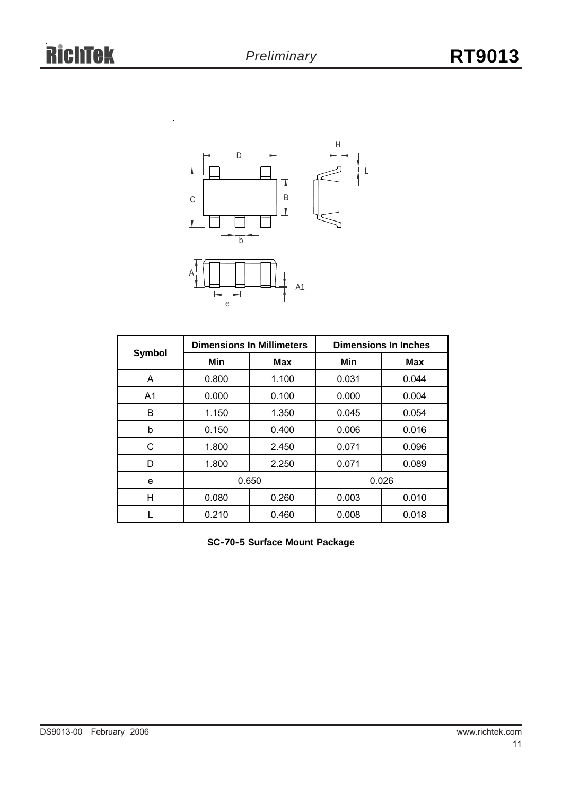

|                |       | <b>Dimensions In Millimeters</b> | <b>Dimensions In Inches</b> |            |  |
|----------------|-------|----------------------------------|-----------------------------|------------|--|
| Symbol         | Min   | <b>Max</b>                       | Min                         | <b>Max</b> |  |
| A              | 0.800 | 1.100                            | 0.031                       | 0.044      |  |
| A <sub>1</sub> | 0.000 | 0.100                            | 0.000                       | 0.004      |  |
| B              | 1.150 | 1.350                            | 0.045                       | 0.054      |  |
| b              | 0.150 | 0.400                            | 0.006                       | 0.016      |  |
| С              | 1.800 | 2.450                            | 0.071                       | 0.096      |  |
| D              | 1.800 | 2.250                            | 0.071                       | 0.089      |  |
| e              | 0.650 |                                  |                             | 0.026      |  |
| н              | 0.080 | 0.260                            | 0.003                       | 0.010      |  |
|                | 0.210 | 0.460                            | 0.008                       | 0.018      |  |

**SC-70-5 Surface Mount Package**